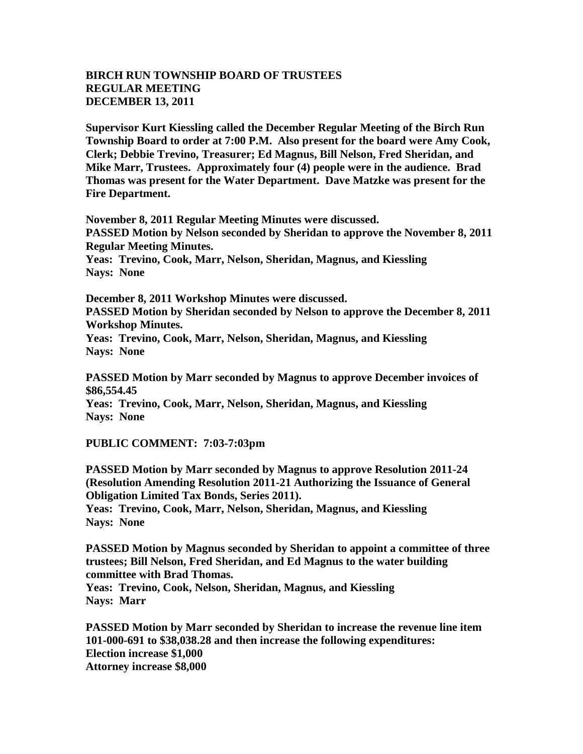## **BIRCH RUN TOWNSHIP BOARD OF TRUSTEES REGULAR MEETING DECEMBER 13, 2011**

**Supervisor Kurt Kiessling called the December Regular Meeting of the Birch Run Township Board to order at 7:00 P.M. Also present for the board were Amy Cook, Clerk; Debbie Trevino, Treasurer; Ed Magnus, Bill Nelson, Fred Sheridan, and Mike Marr, Trustees. Approximately four (4) people were in the audience. Brad Thomas was present for the Water Department. Dave Matzke was present for the Fire Department.** 

**November 8, 2011 Regular Meeting Minutes were discussed. PASSED Motion by Nelson seconded by Sheridan to approve the November 8, 2011 Regular Meeting Minutes.**

**Yeas: Trevino, Cook, Marr, Nelson, Sheridan, Magnus, and Kiessling Nays: None** 

**December 8, 2011 Workshop Minutes were discussed. PASSED Motion by Sheridan seconded by Nelson to approve the December 8, 2011 Workshop Minutes.**

**Yeas: Trevino, Cook, Marr, Nelson, Sheridan, Magnus, and Kiessling Nays: None**

**PASSED Motion by Marr seconded by Magnus to approve December invoices of \$86,554.45**

**Yeas: Trevino, Cook, Marr, Nelson, Sheridan, Magnus, and Kiessling Nays: None** 

**PUBLIC COMMENT: 7:03-7:03pm**

**PASSED Motion by Marr seconded by Magnus to approve Resolution 2011-24 (Resolution Amending Resolution 2011-21 Authorizing the Issuance of General Obligation Limited Tax Bonds, Series 2011).**

**Yeas: Trevino, Cook, Marr, Nelson, Sheridan, Magnus, and Kiessling Nays: None** 

**PASSED Motion by Magnus seconded by Sheridan to appoint a committee of three trustees; Bill Nelson, Fred Sheridan, and Ed Magnus to the water building committee with Brad Thomas.**

**Yeas: Trevino, Cook, Nelson, Sheridan, Magnus, and Kiessling Nays: Marr**

**PASSED Motion by Marr seconded by Sheridan to increase the revenue line item 101-000-691 to \$38,038.28 and then increase the following expenditures: Election increase \$1,000 Attorney increase \$8,000**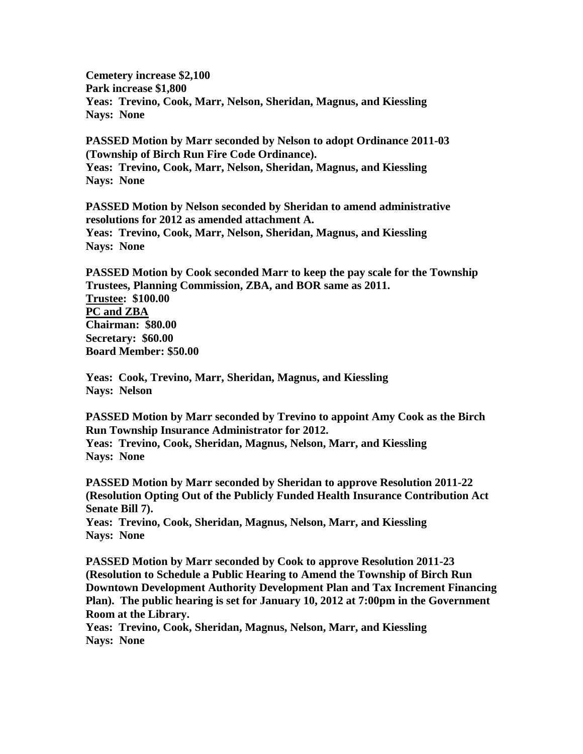**Cemetery increase \$2,100 Park increase \$1,800 Yeas: Trevino, Cook, Marr, Nelson, Sheridan, Magnus, and Kiessling Nays: None** 

**PASSED Motion by Marr seconded by Nelson to adopt Ordinance 2011-03 (Township of Birch Run Fire Code Ordinance). Yeas: Trevino, Cook, Marr, Nelson, Sheridan, Magnus, and Kiessling Nays: None**

**PASSED Motion by Nelson seconded by Sheridan to amend administrative resolutions for 2012 as amended attachment A. Yeas: Trevino, Cook, Marr, Nelson, Sheridan, Magnus, and Kiessling Nays: None**

**PASSED Motion by Cook seconded Marr to keep the pay scale for the Township Trustees, Planning Commission, ZBA, and BOR same as 2011. Trustee: \$100.00 PC and ZBA Chairman: \$80.00 Secretary: \$60.00 Board Member: \$50.00**

**Yeas: Cook, Trevino, Marr, Sheridan, Magnus, and Kiessling Nays: Nelson**

**PASSED Motion by Marr seconded by Trevino to appoint Amy Cook as the Birch Run Township Insurance Administrator for 2012.**

**Yeas: Trevino, Cook, Sheridan, Magnus, Nelson, Marr, and Kiessling Nays: None**

**PASSED Motion by Marr seconded by Sheridan to approve Resolution 2011-22 (Resolution Opting Out of the Publicly Funded Health Insurance Contribution Act Senate Bill 7).** 

**Yeas: Trevino, Cook, Sheridan, Magnus, Nelson, Marr, and Kiessling Nays: None**

**PASSED Motion by Marr seconded by Cook to approve Resolution 2011-23 (Resolution to Schedule a Public Hearing to Amend the Township of Birch Run Downtown Development Authority Development Plan and Tax Increment Financing Plan). The public hearing is set for January 10, 2012 at 7:00pm in the Government Room at the Library.**

**Yeas: Trevino, Cook, Sheridan, Magnus, Nelson, Marr, and Kiessling Nays: None**